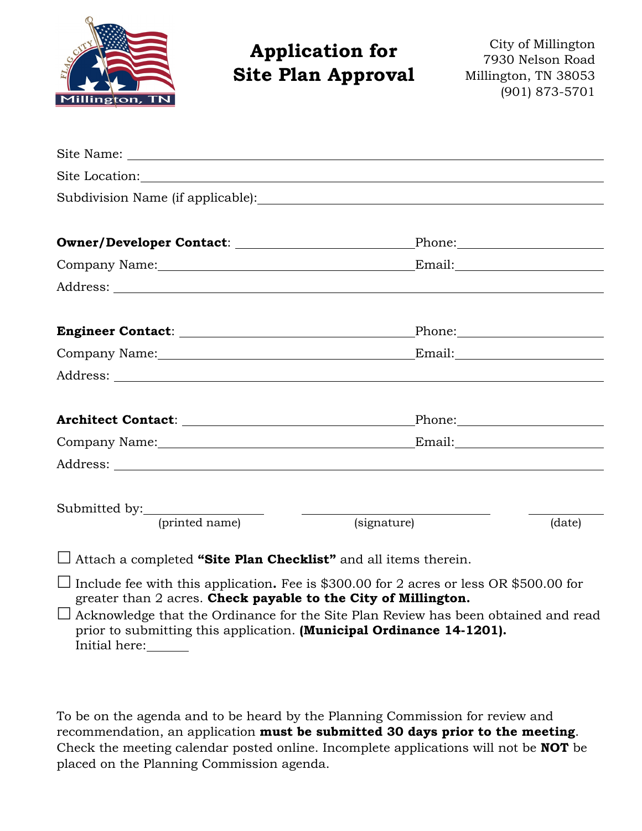

# **Application for Site Plan Approval**

City of Millington 7930 Nelson Road Millington, TN 38053 (901) 873-5701

| Architect Contact: New York 2014                                                                                                                                |             |        |
|-----------------------------------------------------------------------------------------------------------------------------------------------------------------|-------------|--------|
|                                                                                                                                                                 |             |        |
|                                                                                                                                                                 |             |        |
|                                                                                                                                                                 |             |        |
| Submitted by: <u>(printed name)</u>                                                                                                                             | (signature) | (date) |
| $\Box$ Attach a completed "Site Plan Checklist" and all items therein.                                                                                          |             |        |
| $\Box$ Include fee with this application. Fee is \$300.00 for 2 acres or less OR \$500.00 for<br>greater than 2 acres. Check payable to the City of Millington. |             |        |

 $\Box$  Acknowledge that the Ordinance for the Site Plan Review has been obtained and read prior to submitting this application. **(Municipal Ordinance 14-1201).** Initial here:

To be on the agenda and to be heard by the Planning Commission for review and recommendation, an application **must be submitted 30 days prior to the meeting**. Check the meeting calendar posted online. Incomplete applications will not be **NOT** be placed on the Planning Commission agenda.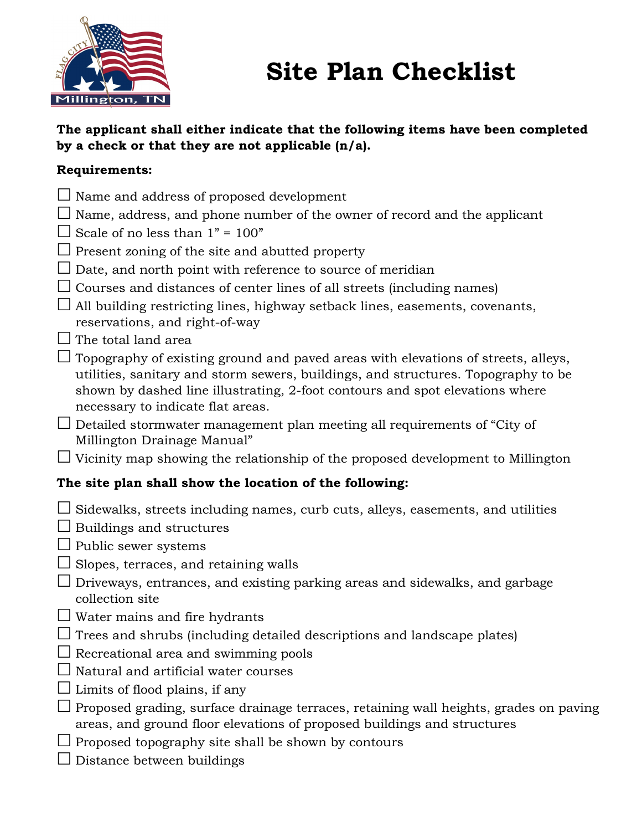

# **Site Plan Checklist**

### **The applicant shall either indicate that the following items have been completed by a check or that they are not applicable (n/a).**

### **Requirements:**

- $\Box$  Name and address of proposed development
- $\Box$  Name, address, and phone number of the owner of record and the applicant
- $\Box$  Scale of no less than 1" = 100"
- $\Box$  Present zoning of the site and abutted property
- $\Box$  Date, and north point with reference to source of meridian
- $\Box$  Courses and distances of center lines of all streets (including names)
- $\Box$  All building restricting lines, highway setback lines, easements, covenants, reservations, and right-of-way
- $\Box$  The total land area
- $\Box$  Topography of existing ground and paved areas with elevations of streets, alleys, utilities, sanitary and storm sewers, buildings, and structures. Topography to be shown by dashed line illustrating, 2-foot contours and spot elevations where necessary to indicate flat areas.
- $\Box$  Detailed stormwater management plan meeting all requirements of "City of Millington Drainage Manual"
- $\Box$  Vicinity map showing the relationship of the proposed development to Millington

# **The site plan shall show the location of the following:**

- $\Box$  Sidewalks, streets including names, curb cuts, alleys, easements, and utilities
- $\Box$  Buildings and structures
- $\Box$  Public sewer systems
- $\Box$  Slopes, terraces, and retaining walls
- $\Box$  Driveways, entrances, and existing parking areas and sidewalks, and garbage collection site
- $\Box$  Water mains and fire hydrants
- $\Box$  Trees and shrubs (including detailed descriptions and landscape plates)
- $\Box$  Recreational area and swimming pools
- $\Box$  Natural and artificial water courses
- $\Box$  Limits of flood plains, if any
- $\Box$  Proposed grading, surface drainage terraces, retaining wall heights, grades on paving areas, and ground floor elevations of proposed buildings and structures
- $\Box$  Proposed topography site shall be shown by contours
- $\Box$  Distance between buildings